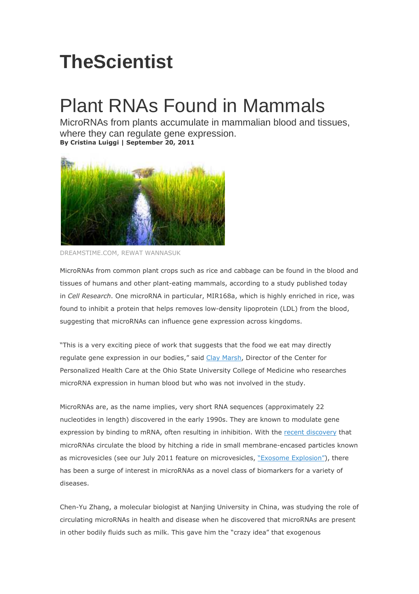## **TheScientist**

## Plant RNAs Found in Mammals

MicroRNAs from plants accumulate in mammalian blood and tissues, where they can regulate gene expression. **By Cristina Luiggi | September 20, 2011**



DREAMSTIME.COM, REWAT WANNASUK

MicroRNAs from common plant crops such as rice and cabbage can be found in the blood and tissues of humans and other plant-eating mammals, according to a study published today in *Cell Research*. One microRNA in particular, MIR168a, which is highly enriched in rice, was found to inhibit a protein that helps removes low-density lipoprotein (LDL) from the blood, suggesting that microRNAs can influence gene expression across kingdoms.

"This is a very exciting piece of work that suggests that the food we eat may directly regulate gene expression in our bodies," said Clay Marsh, Director of the Center for Personalized Health Care at the Ohio State University College of Medicine who researches microRNA expression in human blood but who was not involved in the study.

MicroRNAs are, as the name implies, very short RNA sequences (approximately 22 nucleotides in length) discovered in the early 1990s. They are known to modulate gene expression by binding to mRNA, often resulting in inhibition. With the recent discovery that microRNAs circulate the blood by hitching a ride in small membrane-encased particles known as microvesicles (see our July 2011 feature on microvesicles, "Exosome Explosion"), there has been a surge of interest in microRNAs as a novel class of biomarkers for a variety of diseases.

Chen-Yu Zhang, a molecular biologist at Nanjing University in China, was studying the role of circulating microRNAs in health and disease when he discovered that microRNAs are present in other bodily fluids such as milk. This gave him the "crazy idea" that exogenous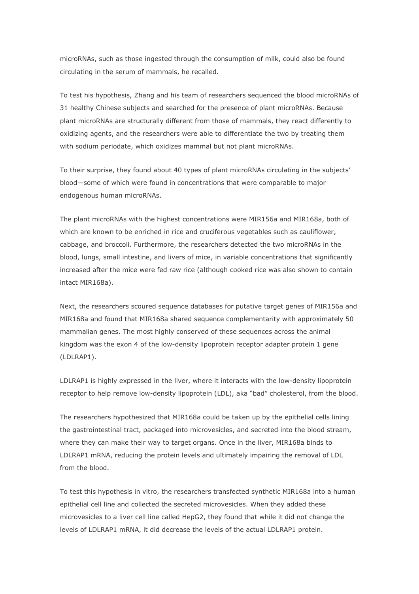microRNAs, such as those ingested through the consumption of milk, could also be found circulating in the serum of mammals, he recalled.

To test his hypothesis, Zhang and his team of researchers sequenced the blood microRNAs of 31 healthy Chinese subjects and searched for the presence of plant microRNAs. Because plant microRNAs are structurally different from those of mammals, they react differently to oxidizing agents, and the researchers were able to differentiate the two by treating them with sodium periodate, which oxidizes mammal but not plant microRNAs.

To their surprise, they found about 40 types of plant microRNAs circulating in the subjects' blood—some of which were found in concentrations that were comparable to major endogenous human microRNAs.

The plant microRNAs with the highest concentrations were MIR156a and MIR168a, both of which are known to be enriched in rice and cruciferous vegetables such as cauliflower, cabbage, and broccoli. Furthermore, the researchers detected the two microRNAs in the blood, lungs, small intestine, and livers of mice, in variable concentrations that significantly increased after the mice were fed raw rice (although cooked rice was also shown to contain intact MIR168a).

Next, the researchers scoured sequence databases for putative target genes of MIR156a and MIR168a and found that MIR168a shared sequence complementarity with approximately 50 mammalian genes. The most highly conserved of these sequences across the animal kingdom was the exon 4 of the low-density lipoprotein receptor adapter protein 1 gene (LDLRAP1).

LDLRAP1 is highly expressed in the liver, where it interacts with the low-density lipoprotein receptor to help remove low-density lipoprotein (LDL), aka "bad" cholesterol, from the blood.

The researchers hypothesized that MIR168a could be taken up by the epithelial cells lining the gastrointestinal tract, packaged into microvesicles, and secreted into the blood stream, where they can make their way to target organs. Once in the liver, MIR168a binds to LDLRAP1 mRNA, reducing the protein levels and ultimately impairing the removal of LDL from the blood.

To test this hypothesis in vitro, the researchers transfected synthetic MIR168a into a human epithelial cell line and collected the secreted microvesicles. When they added these microvesicles to a liver cell line called HepG2, they found that while it did not change the levels of LDLRAP1 mRNA, it did decrease the levels of the actual LDLRAP1 protein.